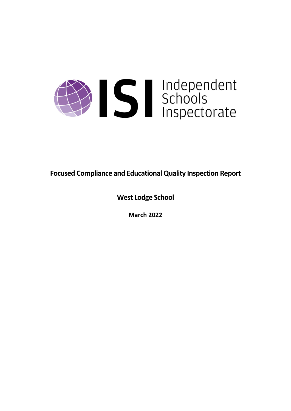

**Focused Compliance and EducationalQuality Inspection Report**

**West Lodge School**

**March 2022**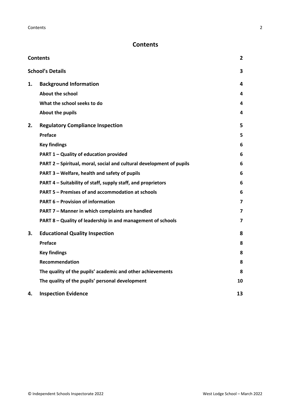# <span id="page-1-0"></span>**Contents**

| <b>Contents</b> |                                                                      |    |
|-----------------|----------------------------------------------------------------------|----|
|                 | <b>School's Details</b>                                              | 3  |
| 1.              | <b>Background Information</b>                                        | 4  |
|                 | <b>About the school</b>                                              | 4  |
|                 | What the school seeks to do                                          | 4  |
|                 | About the pupils                                                     | 4  |
| 2.              | <b>Regulatory Compliance Inspection</b>                              | 5  |
|                 | Preface                                                              | 5  |
|                 | <b>Key findings</b>                                                  | 6  |
|                 | PART 1 - Quality of education provided                               | 6  |
|                 | PART 2 - Spiritual, moral, social and cultural development of pupils | 6  |
|                 | PART 3 - Welfare, health and safety of pupils                        | 6  |
|                 | PART 4 – Suitability of staff, supply staff, and proprietors         | 6  |
|                 | PART 5 - Premises of and accommodation at schools                    | 6  |
|                 | <b>PART 6 - Provision of information</b>                             | 7  |
|                 | PART 7 - Manner in which complaints are handled                      | 7  |
|                 | PART 8 - Quality of leadership in and management of schools          | 7  |
| 3.              | <b>Educational Quality Inspection</b>                                | 8  |
|                 | <b>Preface</b>                                                       | 8  |
|                 | <b>Key findings</b>                                                  | 8  |
|                 | <b>Recommendation</b>                                                | 8  |
|                 | The quality of the pupils' academic and other achievements           | 8  |
|                 | The quality of the pupils' personal development                      | 10 |
| 4.              | <b>Inspection Evidence</b>                                           | 13 |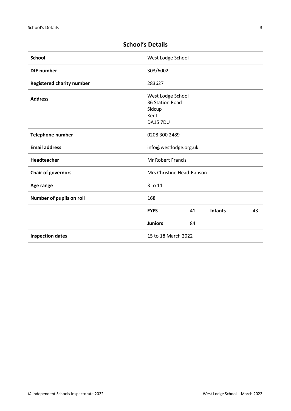| <b>School</b>                    | West Lodge School                              |    |                |    |
|----------------------------------|------------------------------------------------|----|----------------|----|
| <b>DfE</b> number                | 303/6002                                       |    |                |    |
| <b>Registered charity number</b> | 283627                                         |    |                |    |
| <b>Address</b>                   | West Lodge School<br>36 Station Road<br>Sidcup |    |                |    |
|                                  | Kent<br><b>DA15 7DU</b>                        |    |                |    |
|                                  |                                                |    |                |    |
| Telephone number                 | 0208 300 2489                                  |    |                |    |
| <b>Email address</b>             | info@westlodge.org.uk                          |    |                |    |
| <b>Headteacher</b>               | <b>Mr Robert Francis</b>                       |    |                |    |
| <b>Chair of governors</b>        | Mrs Christine Head-Rapson                      |    |                |    |
| Age range                        | 3 to 11                                        |    |                |    |
| Number of pupils on roll         | 168                                            |    |                |    |
|                                  | <b>EYFS</b>                                    | 41 | <b>Infants</b> | 43 |
|                                  | <b>Juniors</b>                                 | 84 |                |    |
| <b>Inspection dates</b>          | 15 to 18 March 2022                            |    |                |    |

# <span id="page-2-0"></span>**School's Details**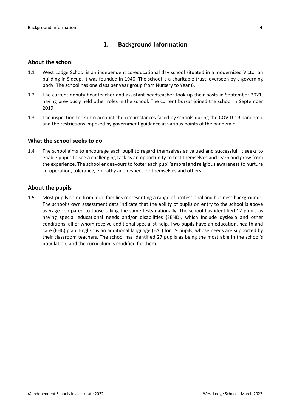# <span id="page-3-0"></span>**1. Background Information**

#### <span id="page-3-1"></span>**About the school**

- 1.1 West Lodge School is an independent co-educational day school situated in a modernised Victorian building in Sidcup. It was founded in 1940. The school is a charitable trust, overseen by a governing body. The school has one class per year group from Nursery to Year 6.
- 1.2 The current deputy headteacher and assistant headteacher took up their posts in September 2021, having previously held other roles in the school. The current bursar joined the school in September 2019.
- 1.3 The inspection took into account the circumstances faced by schools during the COVID-19 pandemic and the restrictions imposed by government guidance at various points of the pandemic.

#### <span id="page-3-2"></span>**What the school seeks to do**

1.4 The school aims to encourage each pupil to regard themselves as valued and successful. It seeks to enable pupils to see a challenging task as an opportunity to test themselves and learn and grow from the experience. The school endeavours to foster each pupil's moral and religious awareness to nurture co-operation, tolerance, empathy and respect for themselves and others.

#### <span id="page-3-3"></span>**About the pupils**

1.5 Most pupils come from local families representing a range of professional and business backgrounds. The school's own assessment data indicate that the ability of pupils on entry to the school is above average compared to those taking the same tests nationally. The school has identified 12 pupils as having special educational needs and/or disabilities (SEND), which include dyslexia and other conditions, all of whom receive additional specialist help. Two pupils have an education, health and care (EHC) plan. English is an additional language (EAL) for 19 pupils, whose needs are supported by their classroom teachers. The school has identified 27 pupils as being the most able in the school's population, and the curriculum is modified for them.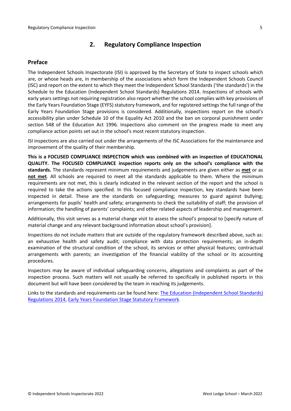# <span id="page-4-0"></span>**2. Regulatory Compliance Inspection**

### <span id="page-4-1"></span>**Preface**

The Independent Schools Inspectorate (ISI) is approved by the Secretary of State to inspect schools which are, or whose heads are, in membership of the associations which form the Independent Schools Council (ISC) and report on the extent to which they meet the Independent School Standards ('the standards') in the Schedule to the Education (Independent School Standards) Regulations 2014. Inspections of schools with early years settings not requiring registration also report whether the school complies with key provisions of the Early Years Foundation Stage (EYFS) statutory framework, and for registered settings the full range of the Early Years Foundation Stage provisions is considered. Additionally, inspections report on the school's accessibility plan under Schedule 10 of the Equality Act 2010 and the ban on corporal punishment under section 548 of the Education Act 1996. Inspections also comment on the progress made to meet any compliance action points set out in the school's most recent statutory inspection.

ISI inspections are also carried out under the arrangements of the ISC Associations for the maintenance and improvement of the quality of their membership.

**This is a FOCUSED COMPLIANCE INSPECTION which was combined with an inspection of EDUCATIONAL QUALITY. The FOCUSED COMPLIANCE inspection reports only on the school's compliance with the standards.** The standards represent minimum requirements and judgements are given either as **met** or as **not met**. All schools are required to meet all the standards applicable to them. Where the minimum requirements are not met, this is clearly indicated in the relevant section of the report and the school is required to take the actions specified. In this focused compliance inspection, key standards have been inspected in detail. These are the standards on safeguarding; measures to guard against bullying; arrangements for pupils' health and safety; arrangements to check the suitability of staff; the provision of information; the handling of parents' complaints; and other related aspects of leadership and management.

Additionally, this visit serves as a material change visit to assess the school's proposal to [specify nature of material change and any relevant background information about school's provision].

Inspections do not include matters that are outside of the regulatory framework described above, such as: an exhaustive health and safety audit; compliance with data protection requirements; an in-depth examination of the structural condition of the school, its services or other physical features; contractual arrangements with parents; an investigation of the financial viability of the school or its accounting procedures.

Inspectors may be aware of individual safeguarding concerns, allegations and complaints as part of the inspection process. Such matters will not usually be referred to specifically in published reports in this document but will have been considered by the team in reaching its judgements.

Links to the standards and requirements can be found here: The Education [\(Independent](http://www.legislation.gov.uk/uksi/2014/3283/contents/made) School Standards) [Regulations](http://www.legislation.gov.uk/uksi/2014/3283/contents/made) 2014, Early Years Foundation Stage Statutory [Framework.](https://www.gov.uk/government/publications/early-years-foundation-stage-framework--2)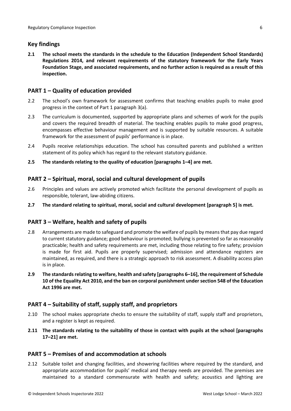# <span id="page-5-0"></span>**Key findings**

**2.1 The school meets the standards in the schedule to the Education (Independent School Standards) Regulations 2014, and relevant requirements of the statutory framework for the Early Years Foundation Stage, and associated requirements, and no further action is required as a result of this inspection.**

# <span id="page-5-1"></span>**PART 1 – Quality of education provided**

- 2.2 The school's own framework for assessment confirms that teaching enables pupils to make good progress in the context of Part 1 paragraph 3(a).
- 2.3 The curriculum is documented, supported by appropriate plans and schemes of work for the pupils and covers the required breadth of material. The teaching enables pupils to make good progress, encompasses effective behaviour management and is supported by suitable resources. A suitable framework for the assessment of pupils' performance is in place.
- 2.4 Pupils receive relationships education. The school has consulted parents and published a written statement of its policy which has regard to the relevant statutory guidance.
- **2.5 The standards relating to the quality of education [paragraphs 1–4] are met.**

# <span id="page-5-2"></span>**PART 2 – Spiritual, moral, social and cultural development of pupils**

- 2.6 Principles and values are actively promoted which facilitate the personal development of pupils as responsible, tolerant, law-abiding citizens.
- **2.7 The standard relating to spiritual, moral, social and cultural development [paragraph 5] is met.**

### <span id="page-5-3"></span>**PART 3 – Welfare, health and safety of pupils**

- 2.8 Arrangements are made to safeguard and promote the welfare of pupils by means that pay due regard to current statutory guidance; good behaviour is promoted; bullying is prevented so far as reasonably practicable; health and safety requirements are met, including those relating to fire safety; provision is made for first aid. Pupils are properly supervised; admission and attendance registers are maintained, as required, and there is a strategic approach to risk assessment. A disability access plan is in place.
- **2.9 The standardsrelating to welfare, health and safety [paragraphs 6–16], the requirement of Schedule 10 of the Equality Act 2010, and the ban on corporal punishment undersection 548 of the Education Act 1996 are met.**

### <span id="page-5-4"></span>**PART 4 – Suitability of staff, supply staff, and proprietors**

- 2.10 The school makes appropriate checks to ensure the suitability of staff, supply staff and proprietors, and a register is kept as required.
- **2.11 The standards relating to the suitability of those in contact with pupils at the school [paragraphs 17–21] are met.**

### <span id="page-5-5"></span>**PART 5 – Premises of and accommodation at schools**

2.12 Suitable toilet and changing facilities, and showering facilities where required by the standard, and appropriate accommodation for pupils' medical and therapy needs are provided. The premises are maintained to a standard commensurate with health and safety; acoustics and lighting are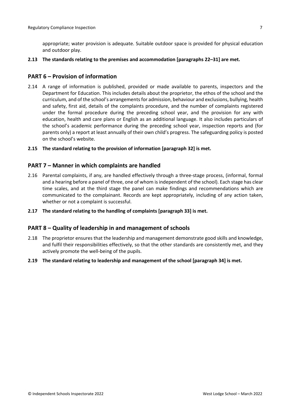appropriate; water provision is adequate. Suitable outdoor space is provided for physical education and outdoor play.

**2.13 The standards relating to the premises and accommodation [paragraphs 22–31] are met.**

#### <span id="page-6-0"></span>**PART 6 – Provision of information**

- 2.14 A range of information is published, provided or made available to parents, inspectors and the Department for Education. This includes details about the proprietor, the ethos of the school and the curriculum, and of the school's arrangementsfor admission, behaviour and exclusions, bullying, health and safety, first aid, details of the complaints procedure, and the number of complaints registered under the formal procedure during the preceding school year, and the provision for any with education, health and care plans or English as an additional language. It also includes particulars of the school's academic performance during the preceding school year, inspection reports and (for parents only) a report at least annually of their own child's progress. The safeguarding policy is posted on the school's website.
- **2.15 The standard relating to the provision of information [paragraph 32] is met.**

#### <span id="page-6-1"></span>**PART 7 – Manner in which complaints are handled**

- 2.16 Parental complaints, if any, are handled effectively through a three-stage process, (informal, formal and a hearing before a panel of three, one of whom isindependent of the school). Each stage has clear time scales, and at the third stage the panel can make findings and recommendations which are communicated to the complainant. Records are kept appropriately, including of any action taken, whether or not a complaint is successful.
- **2.17 The standard relating to the handling of complaints [paragraph 33] is met.**

#### <span id="page-6-2"></span>**PART 8 – Quality of leadership in and management of schools**

- 2.18 The proprietor ensures that the leadership and management demonstrate good skills and knowledge, and fulfil their responsibilities effectively, so that the other standards are consistently met, and they actively promote the well-being of the pupils.
- **2.19 The standard relating to leadership and management of the school [paragraph 34] is met.**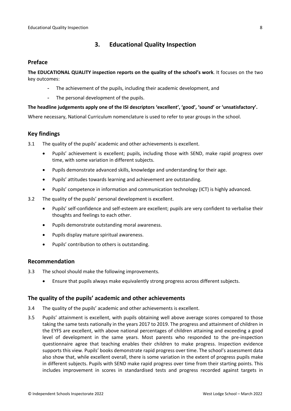# <span id="page-7-0"></span>**3. Educational Quality Inspection**

#### <span id="page-7-1"></span>**Preface**

**The EDUCATIONAL QUALITY inspection reports on the quality of the school's work**. It focuses on the two key outcomes:

- The achievement of the pupils, including their academic development, and
- The personal development of the pupils.

#### **The headline judgements apply one of the ISI descriptors 'excellent', 'good', 'sound' or 'unsatisfactory'.**

Where necessary, National Curriculum nomenclature is used to refer to year groups in the school.

# <span id="page-7-2"></span>**Key findings**

- 3.1 The quality of the pupils' academic and other achievements is excellent.
	- Pupils' achievement is excellent; pupils, including those with SEND, make rapid progress over time, with some variation in different subjects.
	- Pupils demonstrate advanced skills, knowledge and understanding for their age.
	- Pupils' attitudes towards learning and achievement are outstanding.
	- Pupils' competence in information and communication technology (ICT) is highly advanced.
- 3.2 The quality of the pupils' personal development is excellent.
	- Pupils' self-confidence and self-esteem are excellent; pupils are very confident to verbalise their thoughts and feelings to each other.
	- Pupils demonstrate outstanding moral awareness.
	- Pupils display mature spiritual awareness.
	- Pupils' contribution to others is outstanding.

#### <span id="page-7-3"></span>**Recommendation**

- 3.3 The school should make the following improvements.
	- Ensure that pupils always make equivalently strong progress across different subjects.

#### <span id="page-7-4"></span>**The quality of the pupils' academic and other achievements**

- 3.4 The quality of the pupils' academic and other achievements is excellent.
- 3.5 Pupils' attainment is excellent, with pupils obtaining well above average scores compared to those taking the same tests nationally in the years 2017 to 2019. The progress and attainment of children in the EYFS are excellent, with above national percentages of children attaining and exceeding a good level of development in the same years. Most parents who responded to the pre-inspection questionnaire agree that teaching enables their children to make progress. Inspection evidence supports this view. Pupils' books demonstrate rapid progress over time. The school's assessment data also show that, while excellent overall, there is some variation in the extent of progress pupils make in different subjects. Pupils with SEND make rapid progress over time from their starting points. This includes improvement in scores in standardised tests and progress recorded against targets in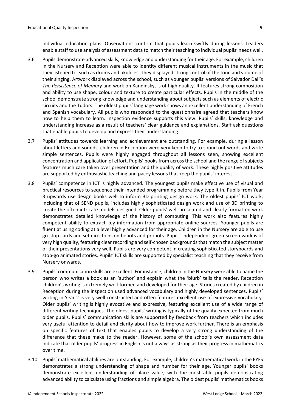individual education plans. Observations confirm that pupils learn swiftly during lessons. Leaders enable staff to use analysis of assessment data to match their teaching to individual pupils' needs well.

- 3.6 Pupils demonstrate advanced skills, knowledge and understanding for their age. For example, children in the Nursery and Reception were able to identity different musical instruments in the music that they listened to, such as drums and ukuleles. They displayed strong control of the tone and volume of their singing. Artwork displayed across the school, such as younger pupils' versions of Salvador Dalí's *The Persistence of Memory* and work on Kandinsky, is of high quality. It features strong composition and ability to use shape, colour and texture to create particular effects. Pupils in the middle of the school demonstrate strong knowledge and understanding about subjects such as elements of electric circuits and the Tudors. The oldest pupils' language work shows an excellent understanding of French and Spanish vocabulary. All pupils who responded to the questionnaire agreed that teachers know how to help them to learn. Inspection evidence supports this view. Pupils' skills, knowledge and understanding increase as a result of teachers' clear guidance and explanations. Staff ask questions that enable pupils to develop and express their understanding.
- 3.7 Pupils' attitudes towards learning and achievement are outstanding. For example, during a lesson about letters and sounds, children in Reception were very keen to try to sound out words and write simple sentences. Pupils were highly engaged throughout all lessons seen, showing excellent concentration and application of effort. Pupils' books from across the school and the range of subjects features much care taken over presentation and the quality of work. These highly positive attitudes are supported by enthusiastic teaching and pacey lessons that keep the pupils' interest.
- 3.8 Pupils' competence in ICT is highly advanced. The youngest pupils make effective use of visual and practical resources to sequence their intended programming before they type it in. Pupils from Year 3 upwards use design books well to inform 3D printing design work. The oldest pupils' ICT work, including that of SEND pupils, includes highly sophisticated design work and use of 3D printing to create the often intricate models designed. Older pupils' well-presented and clearly formatted work demonstrates detailed knowledge of the history of computing. This work also features highly competent ability to extract key information from appropriate online sources. Younger pupils are fluent at using coding at a level highly advanced for their age. Children in the Nursery are able to use go-stop cards and set directions on bebots and probots. Pupils' independent green-screen work is of very high quality, featuring clear recording and self-chosen backgroundsthat match the subject matter of their presentations very well. Pupils are very competent in creating sophisticated storyboards and stop-go animated stories. Pupils' ICT skills are supported by specialist teaching that they receive from Nursery onwards.
- 3.9 Pupils' communication skills are excellent. For instance, children in the Nursery were able to name the person who writes a book as an 'author' and explain what the 'blurb' tells the reader. Reception children's writing is extremely well-formed and developed for their age. Stories created by children in Reception during the inspection used advanced vocabulary and highly developed sentences. Pupils' writing in Year 2 is very well constructed and often features excellent use of expressive vocabulary. Older pupils' writing is highly evocative and expressive, featuring excellent use of a wide range of different writing techniques. The oldest pupils' writing is typically of the quality expected from much older pupils. Pupils' communication skills are supported by feedback from teachers which includes very useful attention to detail and clarity about how to improve work further. There is an emphasis on specific features of text that enables pupils to develop a very strong understanding of the difference that these make to the reader. However, some of the school's own assessment data indicate that older pupils' progress in English is not always as strong as their progress in mathematics over time.
- 3.10 Pupils' mathematical abilities are outstanding. For example, children's mathematical work in the EYFS demonstrates a strong understanding of shape and number for their age. Younger pupils' books demonstrate excellent understanding of place value, with the most able pupils demonstrating advanced ability to calculate using fractions and simple algebra. The oldest pupils' mathematics books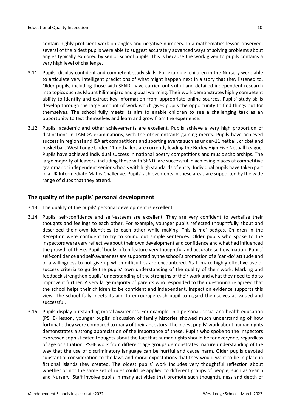contain highly proficient work on angles and negative numbers. In a mathematics lesson observed, several of the oldest pupils were able to suggest accurately advanced ways of solving problems about angles typically explored by senior school pupils. This is because the work given to pupils contains a very high level of challenge.

- 3.11 Pupils' display confident and competent study skills. For example, children in the Nursery were able to articulate very intelligent predictions of what might happen next in a story that they listened to. Older pupils, including those with SEND, have carried out skilful and detailed independent research into topics such as Mount Kilimanjaro and global warming. Their work demonstrates highly competent ability to identify and extract key information from appropriate online sources. Pupils' study skills develop through the large amount of work which gives pupils the opportunity to find things out for themselves. The school fully meets its aim to enable children to see a challenging task as an opportunity to test themselves and learn and grow from the experience.
- 3.12 Pupils' academic and other achievements are excellent. Pupils achieve a very high proportion of distinctions in LAMDA examinations, with the other entrants gaining merits. Pupils have achieved success in regional and ISA art competitions and sporting events such as under-11 netball, cricket and basketball. West Lodge Under-11 netballers are currently leading the Bexley High Five Netball League. Pupils have achieved individual success in national poetry competitions and music scholarships. The large majority of leavers, including those with SEND, are successful in achieving places at competitive grammar or independent senior schools with high standards of entry. Individual pupils have taken part in a UK Intermediate Maths Challenge. Pupils' achievements in these areas are supported by the wide range of clubs that they attend.

# <span id="page-9-0"></span>**The quality of the pupils' personal development**

- 3.13 The quality of the pupils' personal development is excellent.
- 3.14 Pupils' self-confidence and self-esteem are excellent. They are very confident to verbalise their thoughts and feelings to each other. For example, younger pupils reflected thoughtfully about and described their own identities to each other while making 'This is me' badges. Children in the Reception were confident to try to sound out simple sentences. Older pupils who spoke to the inspectors were very reflective about their own development and confidence and what had influenced the growth of these. Pupils' books often feature very thoughtful and accurate self-evaluation. Pupils' self-confidence and self-awareness are supported by the school's promotion of a 'can-do' attitude and of a willingness to not give up when difficulties are encountered. Staff make highly effective use of success criteria to guide the pupils' own understanding of the quality of their work. Marking and feedback strengthen pupils' understanding of the strengths of their work and what they need to do to improve it further. A very large majority of parents who responded to the questionnaire agreed that the school helps their children to be confident and independent. Inspection evidence supports this view. The school fully meets its aim to encourage each pupil to regard themselves as valued and successful.
- 3.15 Pupils display outstanding moral awareness. For example, in a personal, social and health education (PSHE) lesson, younger pupils' discussion of family histories showed much understanding of how fortunate they were compared to many of their ancestors. The oldest pupils' work about human rights demonstrates a strong appreciation of the importance of these. Pupils who spoke to the inspectors expressed sophisticated thoughts about the fact that human rights should be for everyone, regardless of age or situation. PSHE work from different age groups demonstrates mature understanding of the way that the use of discriminatory language can be hurtful and cause harm. Older pupils devoted substantial consideration to the laws and moral expectations that they would want to be in place in fictional islands they created. The oldest pupils' work includes very thoughtful reflection about whether or not the same set of rules could be applied to different groups of people, such as Year 6 and Nursery. Staff involve pupils in many activities that promote such thoughtfulness and depth of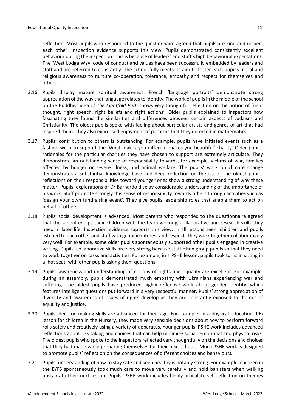reflection. Most pupils who responded to the questionnaire agreed that pupils are kind and respect each other. Inspection evidence supports this view. Pupils demonstrated consistently excellent behaviour during the inspection. This is because of leaders' and staff's high behavioural expectations. The 'West Lodge Way' code of conduct and values have been successfully embedded by leaders and staff and are referred to constantly. The school fully meets its aim to foster each pupil's moral and religious awareness to nurture co-operation, tolerance, empathy and respect for themselves and others.

- 3.16 Pupils display mature spiritual awareness. French 'language portraits' demonstrate strong appreciation of the way that language relates to identity. The work of pupils in the middle of the school on the Buddhist idea of *The Eightfold Path* shows very thoughtful reflection on the notion of 'right thought, right speech, right beliefs and right actions'*.* Older pupils explained to inspectors how fascinating they found the similarities and differences between certain aspects of Judaism and Christianity. The oldest pupils spoke with feeling about particular artists and genres of art that had inspired them. They also expressed enjoyment of patterns that they detected in mathematics.
- 3.17 Pupils' contribution to others is outstanding. For example, pupils have initiated events such as a fashion week to support the 'What makes you different makes you beautiful' charity. Older pupils' rationales for the particular charities they have chosen to support are extremely articulate. They demonstrate an outstanding sense of responsibility towards, for example, victims of war, families affected by hunger or severe illness, and animal welfare. The pupils' work on climate change demonstrates a substantial knowledge base and deep reflection on the issue. The oldest pupils' reflections on their responsibilities toward younger ones show a strong understanding of why these matter. Pupils' explorations of Dr Barnardo display considerable understanding of the importance of his work. Staff promote strongly this sense of responsibility towards others through activities such as 'design your own fundraising event'. They give pupils leadership roles that enable them to act on behalf of others.
- 3.18 Pupils' social development is advanced. Most parents who responded to the questionnaire agreed that the school equips their children with the team working, collaborative and research skills they need in later life. Inspection evidence supports this view. In all lessons seen, children and pupils listened to each other and staff with genuine interest and respect. They work together collaboratively very well. For example, some older pupils spontaneously supported other pupils engaged in creative writing. Pupils' collaborative skills are very strong because staff often group pupils so that they need to work together on tasks and activities. For example, in a PSHE lesson, pupils took turns in sitting in a 'hot seat' with other pupils asking them questions.
- 3.19 Pupils' awareness and understanding of notions of rights and equality are excellent. For example, during an assembly, pupils demonstrated much empathy with Ukrainians experiencing war and suffering. The oldest pupils have produced highly reflective work about gender identity, which features intelligent questions put forward in a very respectful manner. Pupils' strong appreciation of diversity and awareness of issues of rights develop as they are constantly exposed to themes of equality and justice.
- 3.20 Pupils' decision-making skills are advanced for their age. For example, in a physical education (PE) lesson for children in the Nursery, they made very sensible decisions about how to perform forward rolls safely and creatively using a variety of apparatus. Younger pupils' PSHE work includes advanced reflections about risk taking and choices that can help minimise social, emotional and physical risks. The oldest pupils who spoke to the inspectors reflected very thoughtfully on the decisions and choices that they had made while preparing themselves for their next schools. Much PSHE work is designed to promote pupils' reflection on the consequences of different choices and behaviours.
- 3.21 Pupils' understanding of how to stay safe and keep healthy is notably strong. For example, children in the EYFS spontaneously took much care to move very carefully and hold banisters when walking upstairs to their next lesson. Pupils' PSHE work includes highly articulate self-reflection on themes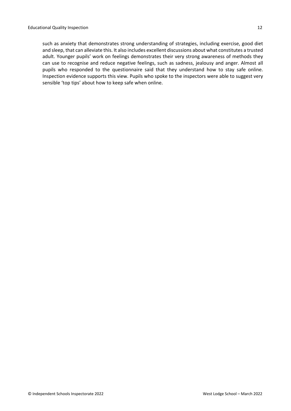such as anxiety that demonstrates strong understanding of strategies, including exercise, good diet and sleep, that can alleviate this. It also includes excellent discussions about what constitutes a trusted adult. Younger pupils' work on feelings demonstrates their very strong awareness of methods they can use to recognise and reduce negative feelings, such as sadness, jealousy and anger. Almost all pupils who responded to the questionnaire said that they understand how to stay safe online. Inspection evidence supports this view. Pupils who spoke to the inspectors were able to suggest very sensible 'top tips' about how to keep safe when online.